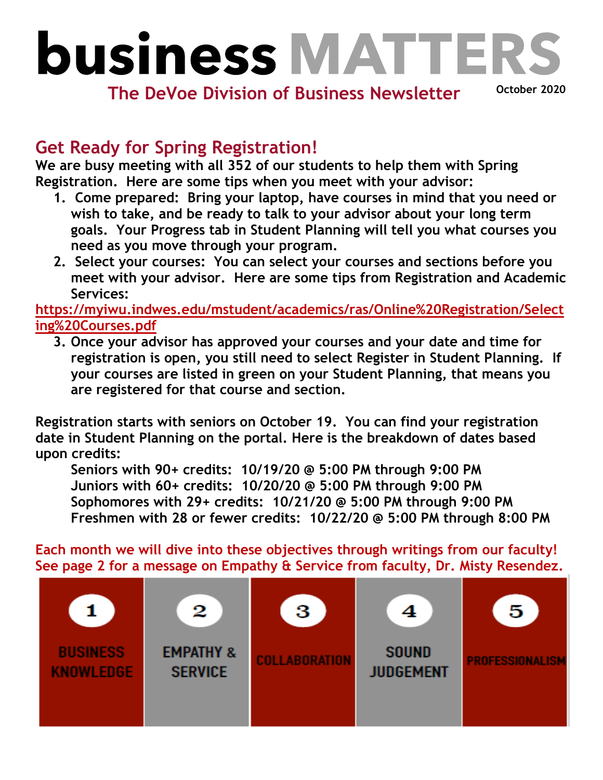## **business MATTER**

**The DeVoe Division of Business Newsletter**

**October 2020**

## **Get Ready for Spring Registration!**

**We are busy meeting with all 352 of our students to help them with Spring Registration. Here are some tips when you meet with your advisor:** 

- **1. Come prepared: Bring your laptop, have courses in mind that you need or wish to take, and be ready to talk to your advisor about your long term goals. Your Progress tab in Student Planning will tell you what courses you need as you move through your program.**
- **2. Select your courses: You can select your courses and sections before you meet with your advisor. Here are some tips from Registration and Academic Services:**

**[https://myiwu.indwes.edu/mstudent/academics/ras/Online%20Registration/Select](https://myiwu.indwes.edu/mstudent/academics/ras/Online%20Registration/Selecting%20Courses.pdf) [ing%20Courses.pdf](https://myiwu.indwes.edu/mstudent/academics/ras/Online%20Registration/Selecting%20Courses.pdf)**

**3. Once your advisor has approved your courses and your date and time for registration is open, you still need to select Register in Student Planning. If your courses are listed in green on your Student Planning, that means you are registered for that course and section.** 

**Registration starts with seniors on October 19. You can find your registration date in Student Planning on the portal. Here is the breakdown of dates based upon credits:**

**Seniors with 90+ credits: 10/19/20 @ 5:00 PM through 9:00 PM Juniors with 60+ credits: 10/20/20 @ 5:00 PM through 9:00 PM Sophomores with 29+ credits: 10/21/20 @ 5:00 PM through 9:00 PM Freshmen with 28 or fewer credits: 10/22/20 @ 5:00 PM through 8:00 PM**

**Each month we will dive into these objectives through writings from our faculty! See page 2 for a message on Empathy & Service from faculty, Dr. Misty Resendez.**

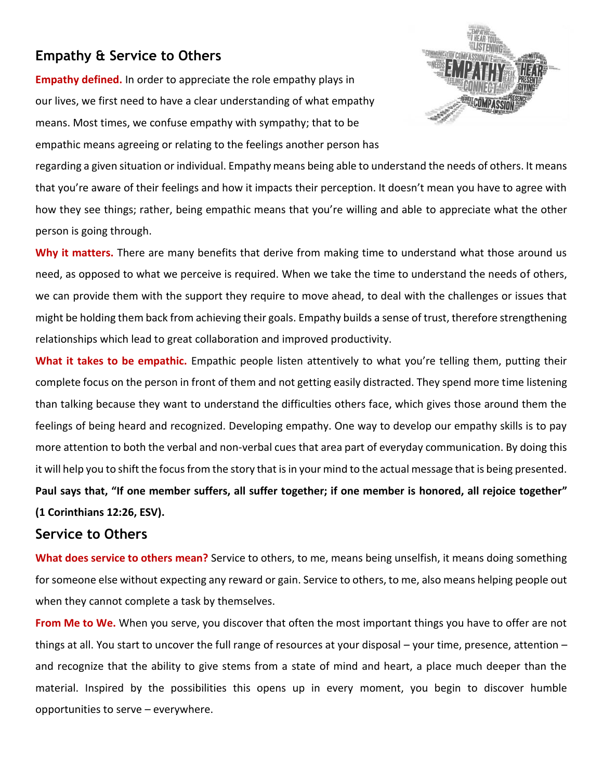## **Empathy & Service to Others**

**Empathy defined.** In order to appreciate the role empathy plays in our lives, we first need to have a clear understanding of what empathy means. Most times, we confuse empathy with sympathy; that to be empathic means agreeing or relating to the feelings another person has



regarding a given situation or individual. Empathy means being able to understand the needs of others. It means that you're aware of their feelings and how it impacts their perception. It doesn't mean you have to agree with how they see things; rather, being empathic means that you're willing and able to appreciate what the other person is going through.

**Why it matters.** There are many benefits that derive from making time to understand what those around us need, as opposed to what we perceive is required. When we take the time to understand the needs of others, we can provide them with the support they require to move ahead, to deal with the challenges or issues that might be holding them back from achieving their goals. Empathy builds a sense of trust, therefore strengthening relationships which lead to great collaboration and improved productivity.

**What it takes to be empathic.** Empathic people listen attentively to what you're telling them, putting their complete focus on the person in front of them and not getting easily distracted. They spend more time listening than talking because they want to understand the difficulties others face, which gives those around them the feelings of being heard and recognized. Developing empathy. One way to develop our empathy skills is to pay more attention to both the verbal and non-verbal cues that area part of everyday communication. By doing this it will help you to shift the focus from the story that is in your mind to the actual message that is being presented. **Paul says that, "If one member suffers, all suffer together; if one member is honored, all rejoice together" (1 Corinthians 12:26, ESV).**

## **Service to Others**

**What does service to others mean?** Service to others, to me, means being unselfish, it means doing something for someone else without expecting any reward or gain. Service to others, to me, also means helping people out when they cannot complete a task by themselves.

**From Me to We.** When you serve, you discover that often the most important things you have to offer are not things at all. You start to uncover the full range of resources at your disposal – your time, presence, attention – and recognize that the ability to give stems from a state of mind and heart, a place much deeper than the material. Inspired by the possibilities this opens up in every moment, you begin to discover humble opportunities to serve – everywhere.